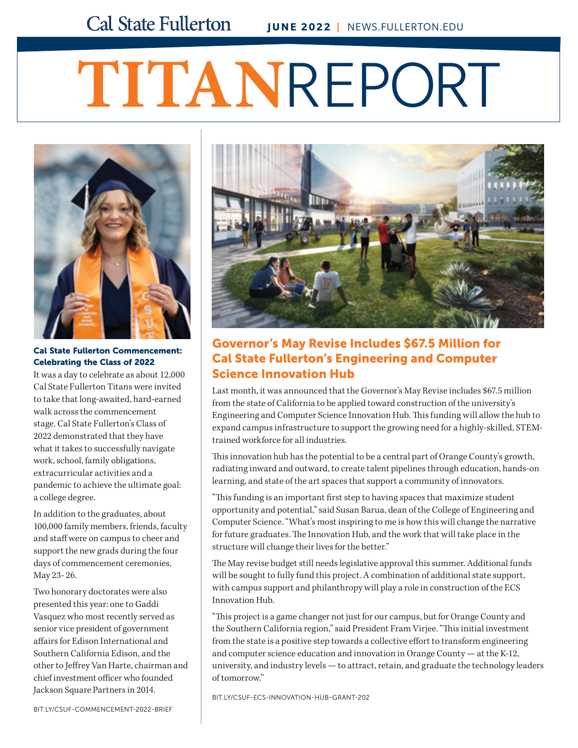# **TITAN**REPORT



Cal State Fullerton Commencement: Celebrating the Class of 2022

It was a day to celebrate as about 12,000 Cal State Fullerton Titans were invited to take that long-awaited, hard-earned walk across the commencement stage. Cal State Fullerton's Class of 2022 demonstrated that they have what it takes to successfully navigate work, school, family obligations, extracurricular activities and a pandemic to achieve the ultimate goal: a college degree.

In addition to the graduates, about 100,000 family members, friends, faculty and staff were on campus to cheer and support the new grads during the four days of commencement ceremonies, May 23- 26.

Two honorary doctorates were also presented this year: one to Gaddi Vasquez who most recently served as senior vice president of government affairs for Edison International and Southern California Edison, and the other to Jeffrey Van Harte, chairman and chief investment officer who founded Jackson Square Partners in 2014.



## Governor's May Revise Includes \$67.5 Million for Cal State Fullerton's Engineering and Computer Science Innovation Hub

Last month, it was announced that the Governor's May Revise includes \$67.5 million from the state of California to be applied toward construction of the university's Engineering and Computer Science Innovation Hub. This funding will allow the hub to expand campus infrastructure to support the growing need for a highly-skilled, STEMtrained workforce for all industries.

This innovation hub has the potential to be a central part of Orange County's growth, radiating inward and outward, to create talent pipelines through education, hands-on learning, and state of the art spaces that support a community of innovators.

"This funding is an important first step to having spaces that maximize student opportunity and potential," said Susan Barua, dean of the College of Engineering and Computer Science. "What's most inspiring to me is how this will change the narrative for future graduates. The Innovation Hub, and the work that will take place in the structure will change their lives for the better."

The May revise budget still needs legislative approval this summer. Additional funds will be sought to fully fund this project. A combination of additional state support, with campus support and philanthropy will play a role in construction of the ECS Innovation Hub.

"This project is a game changer not just for our campus, but for Orange County and the Southern California region," said President Fram Virjee. "This initial investment from the state is a positive step towards a collective effort to transform engineering and computer science education and innovation in Orange County — at the K-12, university, and industry levels — to attract, retain, and graduate the technology leaders of tomorrow."

[BIT.LY/CSUF-ECS-INNOVATION-HUB-GRANT-202](http://bit.ly/csuf-ecs-innovation-hub-grant-202)